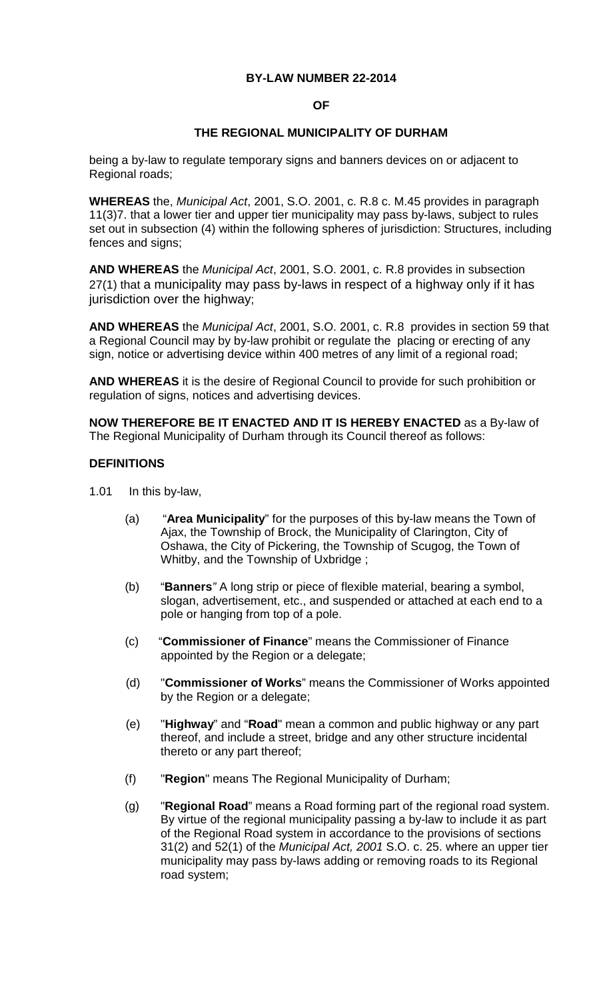### **BY-LAW NUMBER 22-2014**

### **OF**

### **THE REGIONAL MUNICIPALITY OF DURHAM**

being a by-law to regulate temporary signs and banners devices on or adjacent to Regional roads;

**WHEREAS** the, *Municipal Act*, 2001, S.O. 2001, c. R.8 c. M.45 provides in paragraph 11(3)7. that a lower tier and upper tier municipality may pass by-laws, subject to rules set out in subsection (4) within the following spheres of jurisdiction: Structures, including fences and signs;

**AND WHEREAS** the *Municipal Act*, 2001, S.O. 2001, c. R.8 provides in subsection 27(1) that a municipality may pass by-laws in respect of a highway only if it has jurisdiction over the highway;

**AND WHEREAS** the *Municipal Act*, 2001, S.O. 2001, c. R.8 provides in section 59 that a Regional Council may by by-law prohibit or regulate the placing or erecting of any sign, notice or advertising device within 400 metres of any limit of a regional road;

**AND WHEREAS** it is the desire of Regional Council to provide for such prohibition or regulation of signs, notices and advertising devices.

**NOW THEREFORE BE IT ENACTED AND IT IS HEREBY ENACTED** as a By-law of The Regional Municipality of Durham through its Council thereof as follows:

#### **DEFINITIONS**

- 1.01 In this by-law,
	- (a) "**Area Municipality**" for the purposes of this by-law means the Town of Ajax, the Township of Brock, the Municipality of Clarington, City of Oshawa, the City of Pickering, the Township of Scugog, the Town of Whitby, and the Township of Uxbridge ;
	- (b) "**Banners***"* A long strip or piece of flexible material, bearing a symbol, slogan, advertisement, etc., and suspended or attached at each end to a pole or hanging from top of a pole.
	- (c) "**Commissioner of Finance**" means the Commissioner of Finance appointed by the Region or a delegate;
	- (d) "**Commissioner of Works**" means the Commissioner of Works appointed by the Region or a delegate;
	- (e) "**Highway**" and "**Road**" mean a common and public highway or any part thereof, and include a street, bridge and any other structure incidental thereto or any part thereof;
	- (f) "**Region**" means The Regional Municipality of Durham;
	- (g) "**Regional Road**" means a Road forming part of the regional road system. By virtue of the regional municipality passing a by-law to include it as part of the Regional Road system in accordance to the provisions of sections 31(2) and 52(1) of the *Municipal Act, 2001* S.O. c. 25. where an upper tier municipality may pass by-laws adding or removing roads to its Regional road system;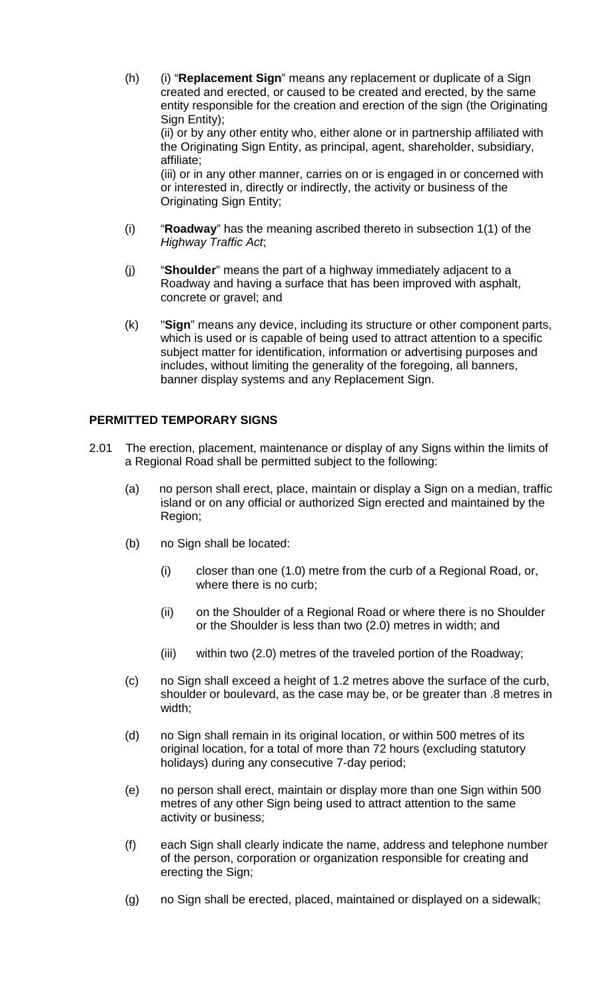- (h) (i) "**Replacement Sign**" means any replacement or duplicate of a Sign created and erected, or caused to be created and erected, by the same entity responsible for the creation and erection of the sign (the Originating Sign Entity); (ii) or by any other entity who, either alone or in partnership affiliated with the Originating Sign Entity, as principal, agent, shareholder, subsidiary, affiliate; (iii) or in any other manner, carries on or is engaged in or concerned with or interested in, directly or indirectly, the activity or business of the Originating Sign Entity;
- (i) "**Roadway**" has the meaning ascribed thereto in subsection 1(1) of the *Highway Traffic Act*;
- (j) "**Shoulder**" means the part of a highway immediately adjacent to a Roadway and having a surface that has been improved with asphalt, concrete or gravel; and
- (k) "**Sign**" means any device, including its structure or other component parts, which is used or is capable of being used to attract attention to a specific subject matter for identification, information or advertising purposes and includes, without limiting the generality of the foregoing, all banners, banner display systems and any Replacement Sign.

## **PERMITTED TEMPORARY SIGNS**

- 2.01 The erection, placement, maintenance or display of any Signs within the limits of a Regional Road shall be permitted subject to the following:
	- (a) no person shall erect, place, maintain or display a Sign on a median, traffic island or on any official or authorized Sign erected and maintained by the Region;
	- (b) no Sign shall be located:
		- (i) closer than one (1.0) metre from the curb of a Regional Road, or, where there is no curb;
		- (ii) on the Shoulder of a Regional Road or where there is no Shoulder or the Shoulder is less than two (2.0) metres in width; and
		- (iii) within two (2.0) metres of the traveled portion of the Roadway;
	- (c) no Sign shall exceed a height of 1.2 metres above the surface of the curb, shoulder or boulevard, as the case may be, or be greater than .8 metres in width;
	- (d) no Sign shall remain in its original location, or within 500 metres of its original location, for a total of more than 72 hours (excluding statutory holidays) during any consecutive 7-day period;
	- (e) no person shall erect, maintain or display more than one Sign within 500 metres of any other Sign being used to attract attention to the same activity or business;
	- (f) each Sign shall clearly indicate the name, address and telephone number of the person, corporation or organization responsible for creating and erecting the Sign;
	- (g) no Sign shall be erected, placed, maintained or displayed on a sidewalk;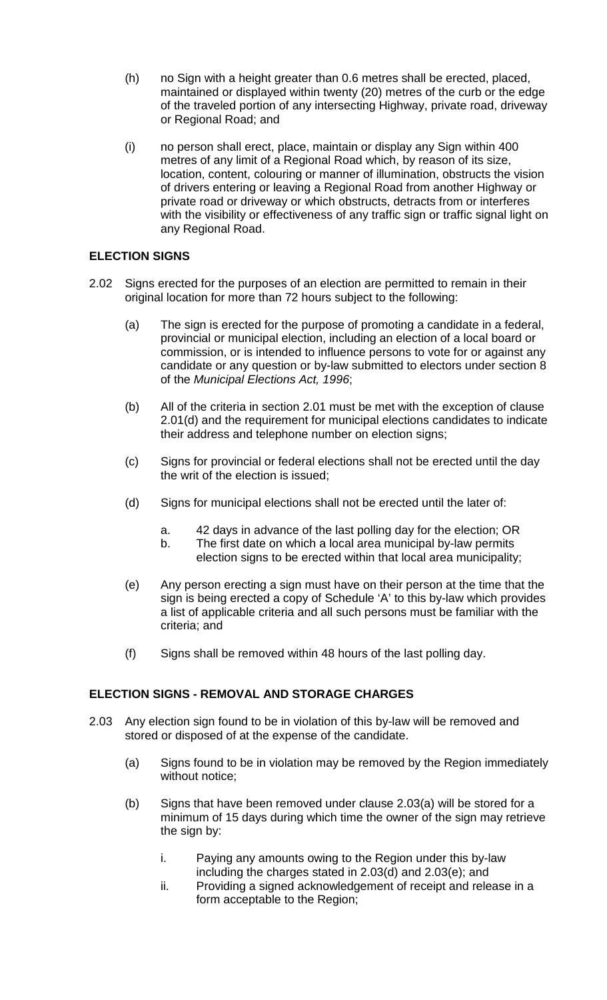- (h) no Sign with a height greater than 0.6 metres shall be erected, placed, maintained or displayed within twenty (20) metres of the curb or the edge of the traveled portion of any intersecting Highway, private road, driveway or Regional Road; and
- (i) no person shall erect, place, maintain or display any Sign within 400 metres of any limit of a Regional Road which, by reason of its size, location, content, colouring or manner of illumination, obstructs the vision of drivers entering or leaving a Regional Road from another Highway or private road or driveway or which obstructs, detracts from or interferes with the visibility or effectiveness of any traffic sign or traffic signal light on any Regional Road.

# **ELECTION SIGNS**

- 2.02 Signs erected for the purposes of an election are permitted to remain in their original location for more than 72 hours subject to the following:
	- (a) The sign is erected for the purpose of promoting a candidate in a federal, provincial or municipal election, including an election of a local board or commission, or is intended to influence persons to vote for or against any candidate or any question or by-law submitted to electors under section 8 of the *Municipal Elections Act, 1996*;
	- (b) All of the criteria in section 2.01 must be met with the exception of clause 2.01(d) and the requirement for municipal elections candidates to indicate their address and telephone number on election signs;
	- (c) Signs for provincial or federal elections shall not be erected until the day the writ of the election is issued;
	- (d) Signs for municipal elections shall not be erected until the later of:
		- a. 42 days in advance of the last polling day for the election; OR
		- b. The first date on which a local area municipal by-law permits election signs to be erected within that local area municipality;
	- (e) Any person erecting a sign must have on their person at the time that the sign is being erected a copy of Schedule 'A' to this by-law which provides a list of applicable criteria and all such persons must be familiar with the criteria; and
	- (f) Signs shall be removed within 48 hours of the last polling day.

## **ELECTION SIGNS - REMOVAL AND STORAGE CHARGES**

- 2.03 Any election sign found to be in violation of this by-law will be removed and stored or disposed of at the expense of the candidate.
	- (a) Signs found to be in violation may be removed by the Region immediately without notice;
	- (b) Signs that have been removed under clause 2.03(a) will be stored for a minimum of 15 days during which time the owner of the sign may retrieve the sign by:
		- i. Paying any amounts owing to the Region under this by-law including the charges stated in 2.03(d) and 2.03(e); and
		- ii. Providing a signed acknowledgement of receipt and release in a form acceptable to the Region;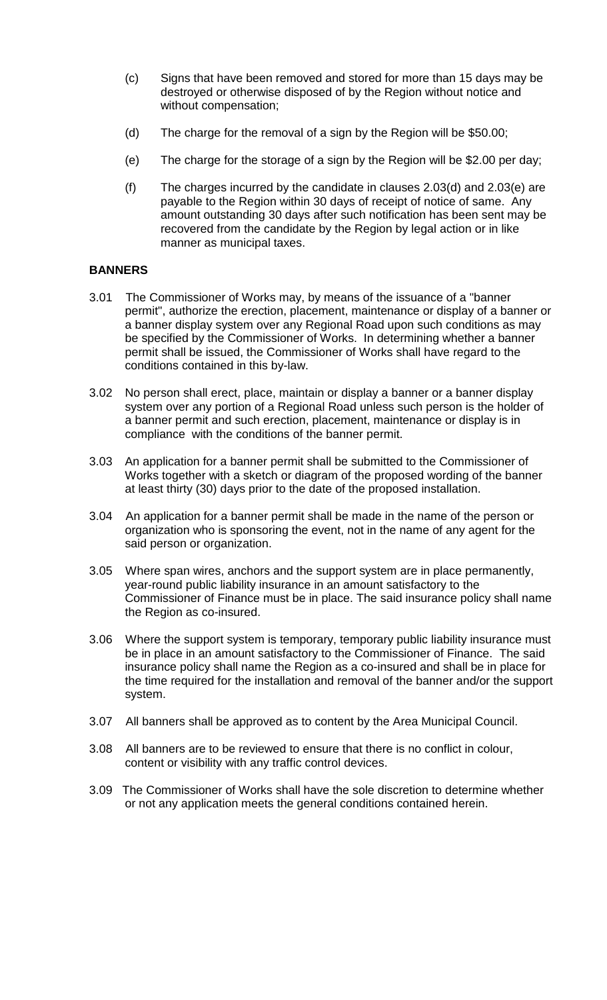- (c) Signs that have been removed and stored for more than 15 days may be destroyed or otherwise disposed of by the Region without notice and without compensation;
- (d) The charge for the removal of a sign by the Region will be \$50.00;
- (e) The charge for the storage of a sign by the Region will be \$2.00 per day;
- (f) The charges incurred by the candidate in clauses  $2.03(d)$  and  $2.03(e)$  are payable to the Region within 30 days of receipt of notice of same. Any amount outstanding 30 days after such notification has been sent may be recovered from the candidate by the Region by legal action or in like manner as municipal taxes.

## **BANNERS**

- 3.01 The Commissioner of Works may, by means of the issuance of a "banner permit", authorize the erection, placement, maintenance or display of a banner or a banner display system over any Regional Road upon such conditions as may be specified by the Commissioner of Works. In determining whether a banner permit shall be issued, the Commissioner of Works shall have regard to the conditions contained in this by-law.
- 3.02 No person shall erect, place, maintain or display a banner or a banner display system over any portion of a Regional Road unless such person is the holder of a banner permit and such erection, placement, maintenance or display is in compliance with the conditions of the banner permit.
- 3.03 An application for a banner permit shall be submitted to the Commissioner of Works together with a sketch or diagram of the proposed wording of the banner at least thirty (30) days prior to the date of the proposed installation.
- 3.04 An application for a banner permit shall be made in the name of the person or organization who is sponsoring the event, not in the name of any agent for the said person or organization.
- 3.05 Where span wires, anchors and the support system are in place permanently, year-round public liability insurance in an amount satisfactory to the Commissioner of Finance must be in place. The said insurance policy shall name the Region as co-insured.
- 3.06 Where the support system is temporary, temporary public liability insurance must be in place in an amount satisfactory to the Commissioner of Finance. The said insurance policy shall name the Region as a co-insured and shall be in place for the time required for the installation and removal of the banner and/or the support system.
- 3.07 All banners shall be approved as to content by the Area Municipal Council.
- 3.08 All banners are to be reviewed to ensure that there is no conflict in colour, content or visibility with any traffic control devices.
- 3.09 The Commissioner of Works shall have the sole discretion to determine whether or not any application meets the general conditions contained herein.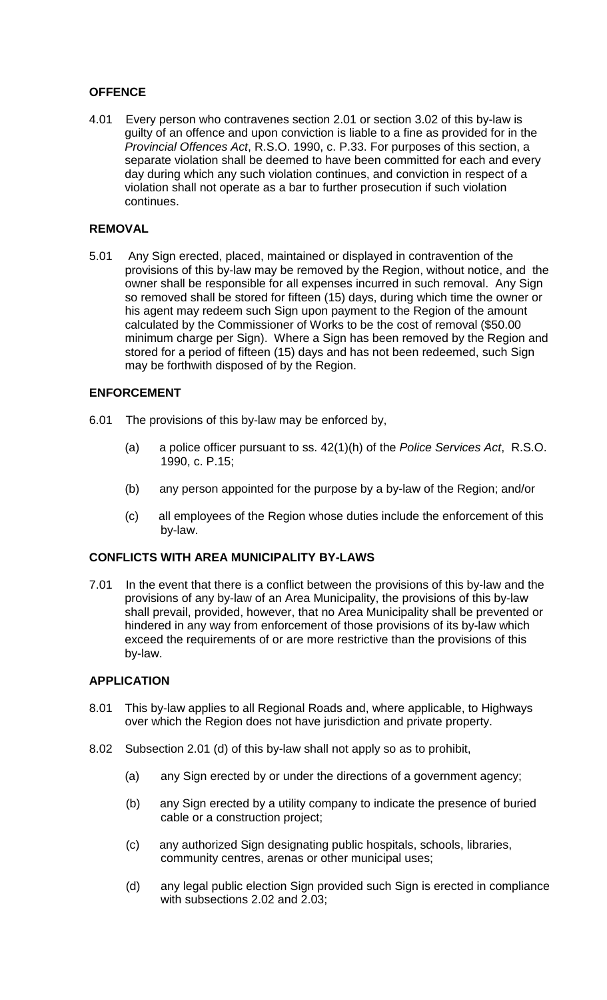# **OFFENCE**

4.01 Every person who contravenes section 2.01 or section 3.02 of this by-law is guilty of an offence and upon conviction is liable to a fine as provided for in the *Provincial Offences Act*, R.S.O. 1990, c. P.33. For purposes of this section, a separate violation shall be deemed to have been committed for each and every day during which any such violation continues, and conviction in respect of a violation shall not operate as a bar to further prosecution if such violation continues.

## **REMOVAL**

5.01 Any Sign erected, placed, maintained or displayed in contravention of the provisions of this by-law may be removed by the Region, without notice, and the owner shall be responsible for all expenses incurred in such removal. Any Sign so removed shall be stored for fifteen (15) days, during which time the owner or his agent may redeem such Sign upon payment to the Region of the amount calculated by the Commissioner of Works to be the cost of removal (\$50.00 minimum charge per Sign). Where a Sign has been removed by the Region and stored for a period of fifteen (15) days and has not been redeemed, such Sign may be forthwith disposed of by the Region.

### **ENFORCEMENT**

- 6.01 The provisions of this by-law may be enforced by,
	- (a) a police officer pursuant to ss. 42(1)(h) of the *Police Services Act*, R.S.O. 1990, c. P.15;
	- (b) any person appointed for the purpose by a by-law of the Region; and/or
	- (c) all employees of the Region whose duties include the enforcement of this by-law.

#### **CONFLICTS WITH AREA MUNICIPALITY BY-LAWS**

7.01 In the event that there is a conflict between the provisions of this by-law and the provisions of any by-law of an Area Municipality, the provisions of this by-law shall prevail, provided, however, that no Area Municipality shall be prevented or hindered in any way from enforcement of those provisions of its by-law which exceed the requirements of or are more restrictive than the provisions of this by-law.

#### **APPLICATION**

- 8.01 This by-law applies to all Regional Roads and, where applicable, to Highways over which the Region does not have jurisdiction and private property.
- 8.02 Subsection 2.01 (d) of this by-law shall not apply so as to prohibit,
	- (a) any Sign erected by or under the directions of a government agency;
	- (b) any Sign erected by a utility company to indicate the presence of buried cable or a construction project;
	- (c) any authorized Sign designating public hospitals, schools, libraries, community centres, arenas or other municipal uses;
	- (d) any legal public election Sign provided such Sign is erected in compliance with subsections 2.02 and 2.03;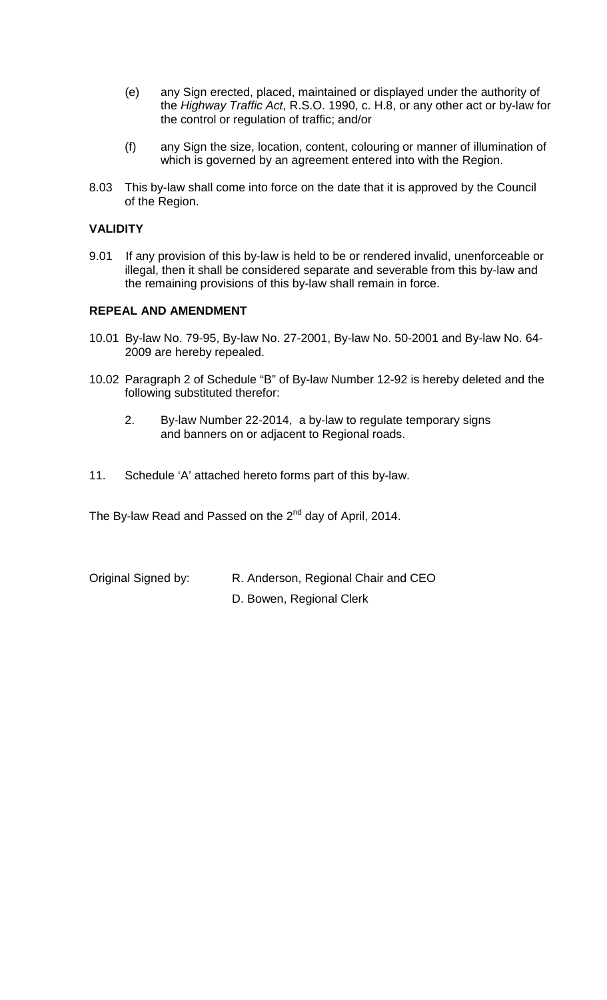- (e) any Sign erected, placed, maintained or displayed under the authority of the *Highway Traffic Act*, R.S.O. 1990, c. H.8, or any other act or by-law for the control or regulation of traffic; and/or
- (f) any Sign the size, location, content, colouring or manner of illumination of which is governed by an agreement entered into with the Region.
- 8.03 This by-law shall come into force on the date that it is approved by the Council of the Region.

### **VALIDITY**

9.01 If any provision of this by-law is held to be or rendered invalid, unenforceable or illegal, then it shall be considered separate and severable from this by-law and the remaining provisions of this by-law shall remain in force.

#### **REPEAL AND AMENDMENT**

- 10.01 By-law No. 79-95, By-law No. 27-2001, By-law No. 50-2001 and By-law No. 64- 2009 are hereby repealed.
- 10.02 Paragraph 2 of Schedule "B" of By-law Number 12-92 is hereby deleted and the following substituted therefor:
	- 2. By-law Number 22-2014, a by-law to regulate temporary signs and banners on or adjacent to Regional roads.
- 11. Schedule 'A' attached hereto forms part of this by-law.

The By-law Read and Passed on the 2<sup>nd</sup> day of April, 2014.

Original Signed by: R. Anderson, Regional Chair and CEO D. Bowen, Regional Clerk